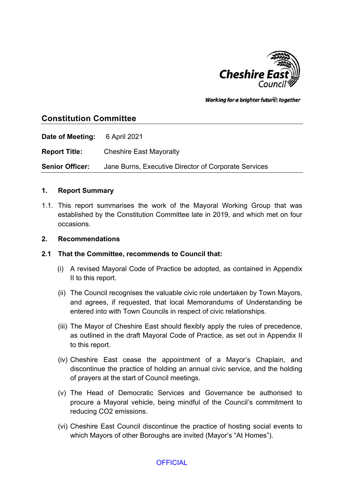

Working for a brighter futures together

# **Constitution Committee**

**Date of Meeting:** 6 April 2021

**Report Title:** Cheshire East Mayoralty

**Senior Officer:** Jane Burns, Executive Director of Corporate Services

#### **1. Report Summary**

1.1. This report summarises the work of the Mayoral Working Group that was established by the Constitution Committee late in 2019, and which met on four occasions.

#### **2. Recommendations**

- **2.1 That the Committee, recommends to Council that:**
	- (i) A revised Mayoral Code of Practice be adopted, as contained in Appendix II to this report.
	- (ii) The Council recognises the valuable civic role undertaken by Town Mayors, and agrees, if requested, that local Memorandums of Understanding be entered into with Town Councils in respect of civic relationships.
	- (iii) The Mayor of Cheshire East should flexibly apply the rules of precedence, as outlined in the draft Mayoral Code of Practice, as set out in Appendix II to this report.
	- (iv) Cheshire East cease the appointment of a Mayor's Chaplain, and discontinue the practice of holding an annual civic service, and the holding of prayers at the start of Council meetings.
	- (v) The Head of Democratic Services and Governance be authorised to procure a Mayoral vehicle, being mindful of the Council's commitment to reducing CO2 emissions.
	- (vi) Cheshire East Council discontinue the practice of hosting social events to which Mayors of other Boroughs are invited (Mayor's "At Homes").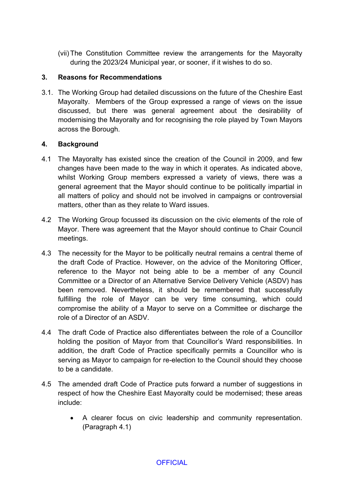(vii) The Constitution Committee review the arrangements for the Mayoralty during the 2023/24 Municipal year, or sooner, if it wishes to do so.

#### **3. Reasons for Recommendations**

3.1. The Working Group had detailed discussions on the future of the Cheshire East Mayoralty. Members of the Group expressed a range of views on the issue discussed, but there was general agreement about the desirability of modernising the Mayoralty and for recognising the role played by Town Mayors across the Borough.

### **4. Background**

- 4.1 The Mayoralty has existed since the creation of the Council in 2009, and few changes have been made to the way in which it operates. As indicated above, whilst Working Group members expressed a variety of views, there was a general agreement that the Mayor should continue to be politically impartial in all matters of policy and should not be involved in campaigns or controversial matters, other than as they relate to Ward issues.
- 4.2 The Working Group focussed its discussion on the civic elements of the role of Mayor. There was agreement that the Mayor should continue to Chair Council meetings.
- 4.3 The necessity for the Mayor to be politically neutral remains a central theme of the draft Code of Practice. However, on the advice of the Monitoring Officer, reference to the Mayor not being able to be a member of any Council Committee or a Director of an Alternative Service Delivery Vehicle (ASDV) has been removed. Nevertheless, it should be remembered that successfully fulfilling the role of Mayor can be very time consuming, which could compromise the ability of a Mayor to serve on a Committee or discharge the role of a Director of an ASDV.
- 4.4 The draft Code of Practice also differentiates between the role of a Councillor holding the position of Mayor from that Councillor's Ward responsibilities. In addition, the draft Code of Practice specifically permits a Councillor who is serving as Mayor to campaign for re-election to the Council should they choose to be a candidate.
- 4.5 The amended draft Code of Practice puts forward a number of suggestions in respect of how the Cheshire East Mayoralty could be modernised; these areas include:
	- A clearer focus on civic leadership and community representation. (Paragraph 4.1)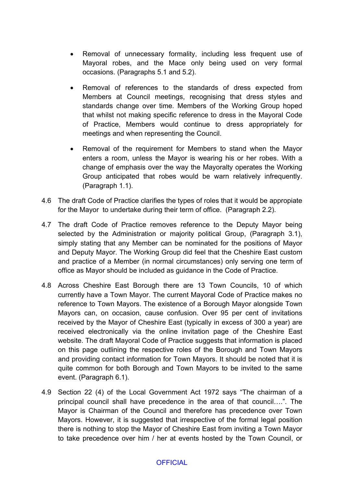- Removal of unnecessary formality, including less frequent use of Mayoral robes, and the Mace only being used on very formal occasions. (Paragraphs 5.1 and 5.2).
- Removal of references to the standards of dress expected from Members at Council meetings, recognising that dress styles and standards change over time. Members of the Working Group hoped that whilst not making specific reference to dress in the Mayoral Code of Practice, Members would continue to dress appropriately for meetings and when representing the Council.
- Removal of the requirement for Members to stand when the Mayor enters a room, unless the Mayor is wearing his or her robes. With a change of emphasis over the way the Mayoralty operates the Working Group anticipated that robes would be warn relatively infrequently. (Paragraph 1.1).
- 4.6 The draft Code of Practice clarifies the types of roles that it would be appropiate for the Mayor to undertake during their term of office. (Paragraph 2.2).
- 4.7 The draft Code of Practice removes reference to the Deputy Mayor being selected by the Administration or majority political Group, (Paragraph 3.1), simply stating that any Member can be nominated for the positions of Mayor and Deputy Mayor. The Working Group did feel that the Cheshire East custom and practice of a Member (in normal circumstances) only serving one term of office as Mayor should be included as guidance in the Code of Practice.
- 4.8 Across Cheshire East Borough there are 13 Town Councils, 10 of which currently have a Town Mayor. The current Mayoral Code of Practice makes no reference to Town Mayors. The existence of a Borough Mayor alongside Town Mayors can, on occasion, cause confusion. Over 95 per cent of invitations received by the Mayor of Cheshire East (typically in excess of 300 a year) are received electronically via the online invitation page of the Cheshire East website. The draft Mayoral Code of Practice suggests that information is placed on this page outlining the respective roles of the Borough and Town Mayors and providing contact information for Town Mayors. It should be noted that it is quite common for both Borough and Town Mayors to be invited to the same event. (Paragraph 6.1).
- 4.9 Section 22 (4) of the Local Government Act 1972 says "The chairman of a principal council shall have precedence in the area of that council….". The Mayor is Chairman of the Council and therefore has precedence over Town Mayors. However, it is suggested that irrespective of the formal legal position there is nothing to stop the Mayor of Cheshire East from inviting a Town Mayor to take precedence over him / her at events hosted by the Town Council, or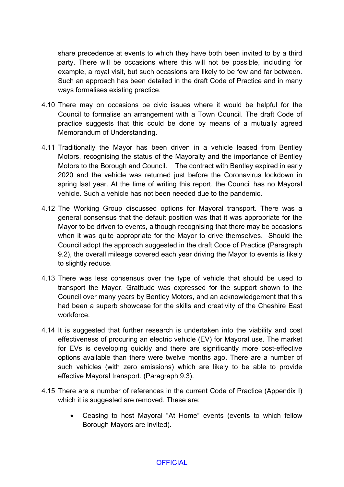share precedence at events to which they have both been invited to by a third party. There will be occasions where this will not be possible, including for example, a royal visit, but such occasions are likely to be few and far between. Such an approach has been detailed in the draft Code of Practice and in many ways formalises existing practice.

- 4.10 There may on occasions be civic issues where it would be helpful for the Council to formalise an arrangement with a Town Council. The draft Code of practice suggests that this could be done by means of a mutually agreed Memorandum of Understanding.
- 4.11 Traditionally the Mayor has been driven in a vehicle leased from Bentley Motors, recognising the status of the Mayoralty and the importance of Bentley Motors to the Borough and Council. The contract with Bentley expired in early 2020 and the vehicle was returned just before the Coronavirus lockdown in spring last year. At the time of writing this report, the Council has no Mayoral vehicle. Such a vehicle has not been needed due to the pandemic.
- 4.12 The Working Group discussed options for Mayoral transport. There was a general consensus that the default position was that it was appropriate for the Mayor to be driven to events, although recognising that there may be occasions when it was quite appropriate for the Mayor to drive themselves. Should the Council adopt the approach suggested in the draft Code of Practice (Paragraph 9.2), the overall mileage covered each year driving the Mayor to events is likely to slightly reduce.
- 4.13 There was less consensus over the type of vehicle that should be used to transport the Mayor. Gratitude was expressed for the support shown to the Council over many years by Bentley Motors, and an acknowledgement that this had been a superb showcase for the skills and creativity of the Cheshire East workforce.
- 4.14 It is suggested that further research is undertaken into the viability and cost effectiveness of procuring an electric vehicle (EV) for Mayoral use. The market for EVs is developing quickly and there are significantly more cost-effective options available than there were twelve months ago. There are a number of such vehicles (with zero emissions) which are likely to be able to provide effective Mayoral transport. (Paragraph 9.3).
- 4.15 There are a number of references in the current Code of Practice (Appendix I) which it is suggested are removed. These are:
	- Ceasing to host Mayoral "At Home" events (events to which fellow Borough Mayors are invited).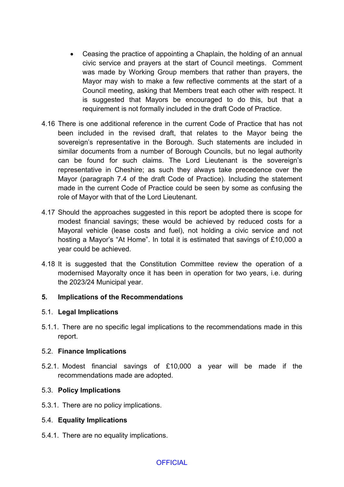- Ceasing the practice of appointing a Chaplain, the holding of an annual civic service and prayers at the start of Council meetings. Comment was made by Working Group members that rather than prayers, the Mayor may wish to make a few reflective comments at the start of a Council meeting, asking that Members treat each other with respect. It is suggested that Mayors be encouraged to do this, but that a requirement is not formally included in the draft Code of Practice.
- 4.16 There is one additional reference in the current Code of Practice that has not been included in the revised draft, that relates to the Mayor being the sovereign's representative in the Borough. Such statements are included in similar documents from a number of Borough Councils, but no legal authority can be found for such claims. The Lord Lieutenant is the sovereign's representative in Cheshire; as such they always take precedence over the Mayor (paragraph 7.4 of the draft Code of Practice). Including the statement made in the current Code of Practice could be seen by some as confusing the role of Mayor with that of the Lord Lieutenant.
- 4.17 Should the approaches suggested in this report be adopted there is scope for modest financial savings; these would be achieved by reduced costs for a Mayoral vehicle (lease costs and fuel), not holding a civic service and not hosting a Mayor's "At Home". In total it is estimated that savings of £10,000 a year could be achieved.
- 4.18 It is suggested that the Constitution Committee review the operation of a modernised Mayoralty once it has been in operation for two years, i.e. during the 2023/24 Municipal year.

#### **5. Implications of the Recommendations**

#### 5.1. **Legal Implications**

5.1.1. There are no specific legal implications to the recommendations made in this report.

#### 5.2. **Finance Implications**

5.2.1. Modest financial savings of £10,000 a year will be made if the recommendations made are adopted.

#### 5.3. **Policy Implications**

5.3.1. There are no policy implications.

#### 5.4. **Equality Implications**

5.4.1. There are no equality implications.